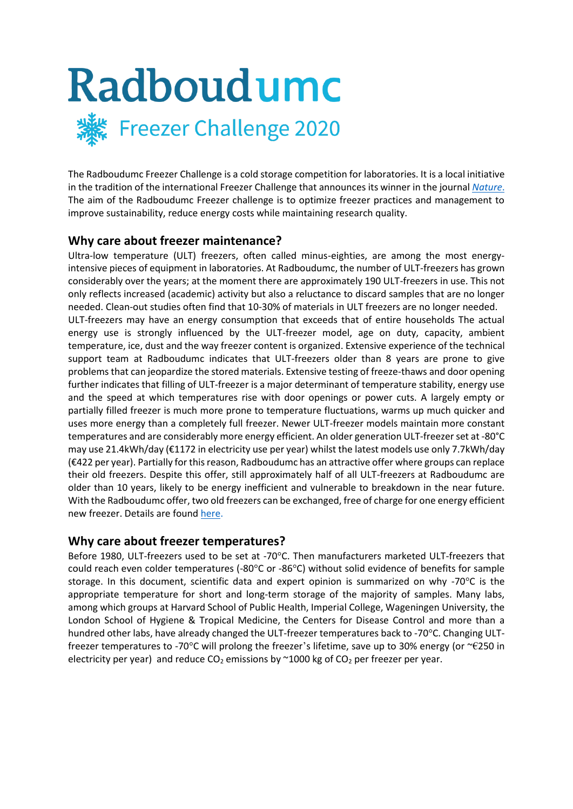

The Radboudumc Freezer Challenge is a cold storage competition for laboratories. It is a local initiative in the tradition of the international Freezer Challenge that announces its winner in the journal *[Nature](https://www.nature.com/articles/d42473-019-00288-0)*. The aim of the Radboudumc Freezer challenge is to optimize freezer practices and management to improve sustainability, reduce energy costs while maintaining research quality.

# **Why care about freezer maintenance?**

Ultra-low temperature (ULT) freezers, often called minus-eighties, are among the most energyintensive pieces of equipment in laboratories. At Radboudumc, the number of ULT-freezers has grown considerably over the years; at the moment there are approximately 190 ULT-freezers in use. This not only reflects increased (academic) activity but also a reluctance to discard samples that are no longer needed. Clean-out studies often find that 10-30% of materials in ULT freezers are no longer needed. ULT-freezers may have an energy consumption that exceeds that of entire households The actual energy use is strongly influenced by the ULT-freezer model, age on duty, capacity, ambient temperature, ice, dust and the way freezer content is organized. Extensive experience of the technical support team at Radboudumc indicates that ULT-freezers older than 8 years are prone to give problems that can jeopardize the stored materials. Extensive testing of freeze-thaws and door opening further indicates that filling of ULT-freezer is a major determinant of temperature stability, energy use and the speed at which temperatures rise with door openings or power cuts. A largely empty or partially filled freezer is much more prone to temperature fluctuations, warms up much quicker and uses more energy than a completely full freezer. Newer ULT-freezer models maintain more constant temperatures and are considerably more energy efficient. An older generation ULT-freezer set at -80°C may use 21.4kWh/day (€1172 in electricity use per year) whilst the latest models use only 7.7kWh/day (€422 per year). Partially for this reason, Radboudumc has an attractive offer where groups can replace their old freezers. Despite this offer, still approximately half of all ULT-freezers at Radboudumc are older than 10 years, likely to be energy inefficient and vulnerable to breakdown in the near future. With the Radboudumc offer, two old freezers can be exchanged, free of charge for one energy efficient new freezer. Details are found [here.](https://www.radboudumc.nl/getmedia/74706d0a-9118-405f-bd8a-15cf21e9b8cb/Aanschaf-energiezuinige-apparatuur.aspx)

# **Why care about freezer temperatures?**

Before 1980, ULT-freezers used to be set at -70°C. Then manufacturers marketed ULT-freezers that could reach even colder temperatures (-80°C or -86°C) without solid evidence of benefits for sample storage. In this document, scientific data and expert opinion is summarized on why -70°C is the appropriate temperature for short and long-term storage of the majority of samples. Many labs, among which groups at Harvard School of Public Health, Imperial College, Wageningen University, the London School of Hygiene & Tropical Medicine, the Centers for Disease Control and more than a hundred other labs, have already changed the ULT-freezer temperatures back to -70°C. Changing ULTfreezer temperatures to -70°C will prolong the freezer's lifetime, save up to 30% energy (or ~€250 in electricity per year) and reduce  $CO<sub>2</sub>$  emissions by  $~1000$  kg of  $CO<sub>2</sub>$  per freezer per year.